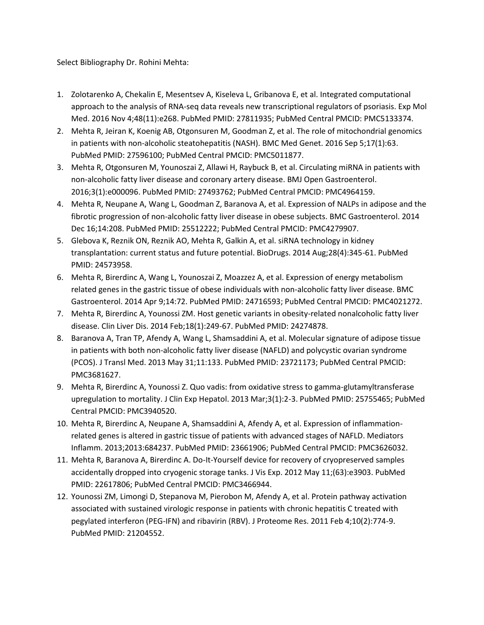Select Bibliography Dr. Rohini Mehta:

- 1. Zolotarenko A, Chekalin E, Mesentsev A, Kiseleva L, Gribanova E, et al. Integrated computational approach to the analysis of RNA-seq data reveals new transcriptional regulators of psoriasis. Exp Mol Med. 2016 Nov 4;48(11):e268. PubMed PMID: 27811935; PubMed Central PMCID: PMC5133374.
- 2. Mehta R, Jeiran K, Koenig AB, Otgonsuren M, Goodman Z, et al. The role of mitochondrial genomics in patients with non-alcoholic steatohepatitis (NASH). BMC Med Genet. 2016 Sep 5;17(1):63. PubMed PMID: 27596100; PubMed Central PMCID: PMC5011877.
- 3. Mehta R, Otgonsuren M, Younoszai Z, Allawi H, Raybuck B, et al. Circulating miRNA in patients with non-alcoholic fatty liver disease and coronary artery disease. BMJ Open Gastroenterol. 2016;3(1):e000096. PubMed PMID: 27493762; PubMed Central PMCID: PMC4964159.
- 4. Mehta R, Neupane A, Wang L, Goodman Z, Baranova A, et al. Expression of NALPs in adipose and the fibrotic progression of non-alcoholic fatty liver disease in obese subjects. BMC Gastroenterol. 2014 Dec 16;14:208. PubMed PMID: 25512222; PubMed Central PMCID: PMC4279907.
- 5. Glebova K, Reznik ON, Reznik AO, Mehta R, Galkin A, et al. siRNA technology in kidney transplantation: current status and future potential. BioDrugs. 2014 Aug;28(4):345-61. PubMed PMID: 24573958.
- 6. Mehta R, Birerdinc A, Wang L, Younoszai Z, Moazzez A, et al. Expression of energy metabolism related genes in the gastric tissue of obese individuals with non-alcoholic fatty liver disease. BMC Gastroenterol. 2014 Apr 9;14:72. PubMed PMID: 24716593; PubMed Central PMCID: PMC4021272.
- 7. Mehta R, Birerdinc A, Younossi ZM. Host genetic variants in obesity-related nonalcoholic fatty liver disease. Clin Liver Dis. 2014 Feb;18(1):249-67. PubMed PMID: 24274878.
- 8. Baranova A, Tran TP, Afendy A, Wang L, Shamsaddini A, et al. Molecular signature of adipose tissue in patients with both non-alcoholic fatty liver disease (NAFLD) and polycystic ovarian syndrome (PCOS). J Transl Med. 2013 May 31;11:133. PubMed PMID: 23721173; PubMed Central PMCID: PMC3681627.
- 9. Mehta R, Birerdinc A, Younossi Z. Quo vadis: from oxidative stress to gamma-glutamyltransferase upregulation to mortality. J Clin Exp Hepatol. 2013 Mar;3(1):2-3. PubMed PMID: 25755465; PubMed Central PMCID: PMC3940520.
- 10. Mehta R, Birerdinc A, Neupane A, Shamsaddini A, Afendy A, et al. Expression of inflammationrelated genes is altered in gastric tissue of patients with advanced stages of NAFLD. Mediators Inflamm. 2013;2013:684237. PubMed PMID: 23661906; PubMed Central PMCID: PMC3626032.
- 11. Mehta R, Baranova A, Birerdinc A. Do-It-Yourself device for recovery of cryopreserved samples accidentally dropped into cryogenic storage tanks. J Vis Exp. 2012 May 11;(63):e3903. PubMed PMID: 22617806; PubMed Central PMCID: PMC3466944.
- 12. Younossi ZM, Limongi D, Stepanova M, Pierobon M, Afendy A, et al. Protein pathway activation associated with sustained virologic response in patients with chronic hepatitis C treated with pegylated interferon (PEG-IFN) and ribavirin (RBV). J Proteome Res. 2011 Feb 4;10(2):774-9. PubMed PMID: 21204552.